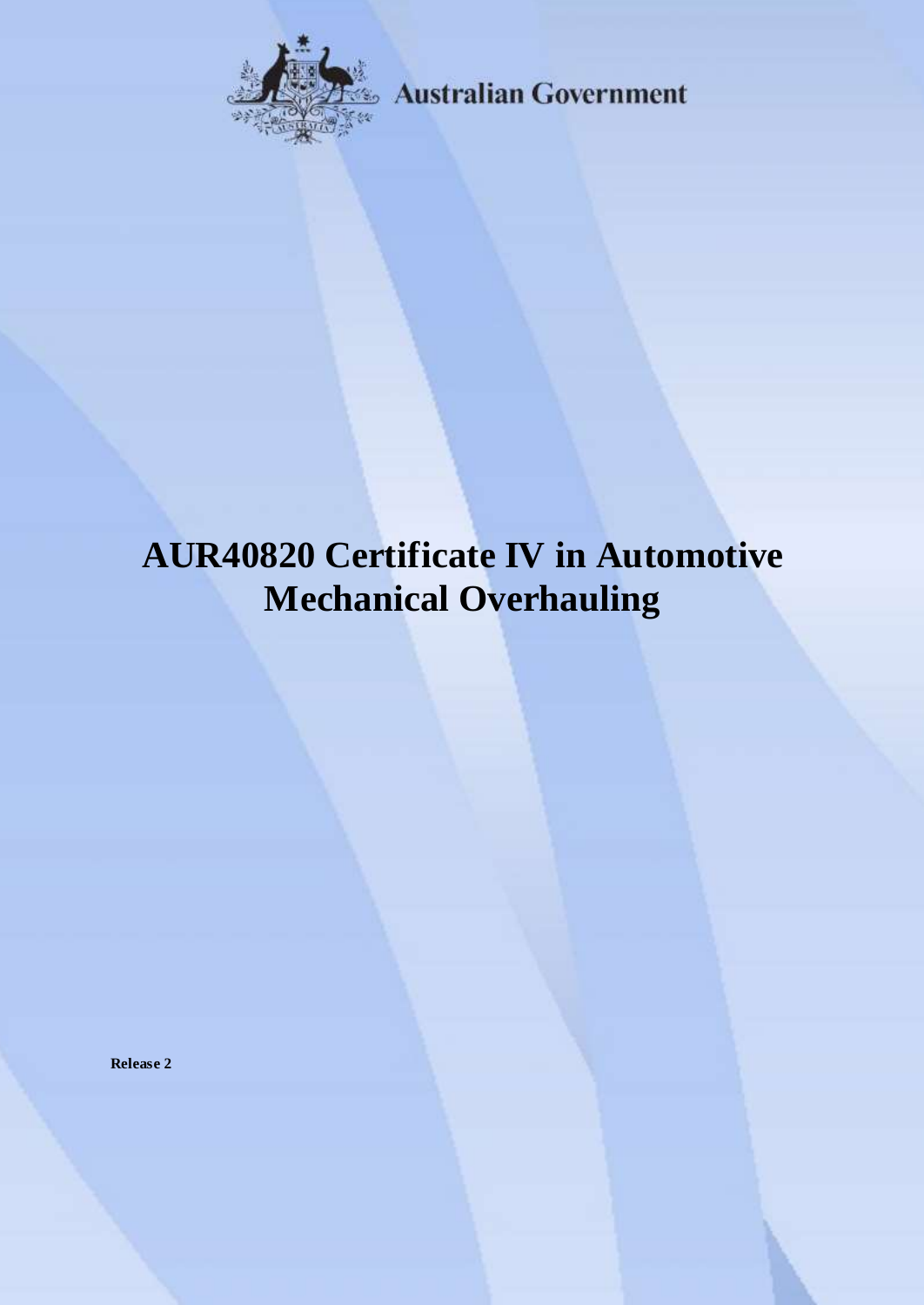

**Australian Government** 

# **AUR40820 Certificate IV in Automotive Mechanical Overhauling**

**Release 2**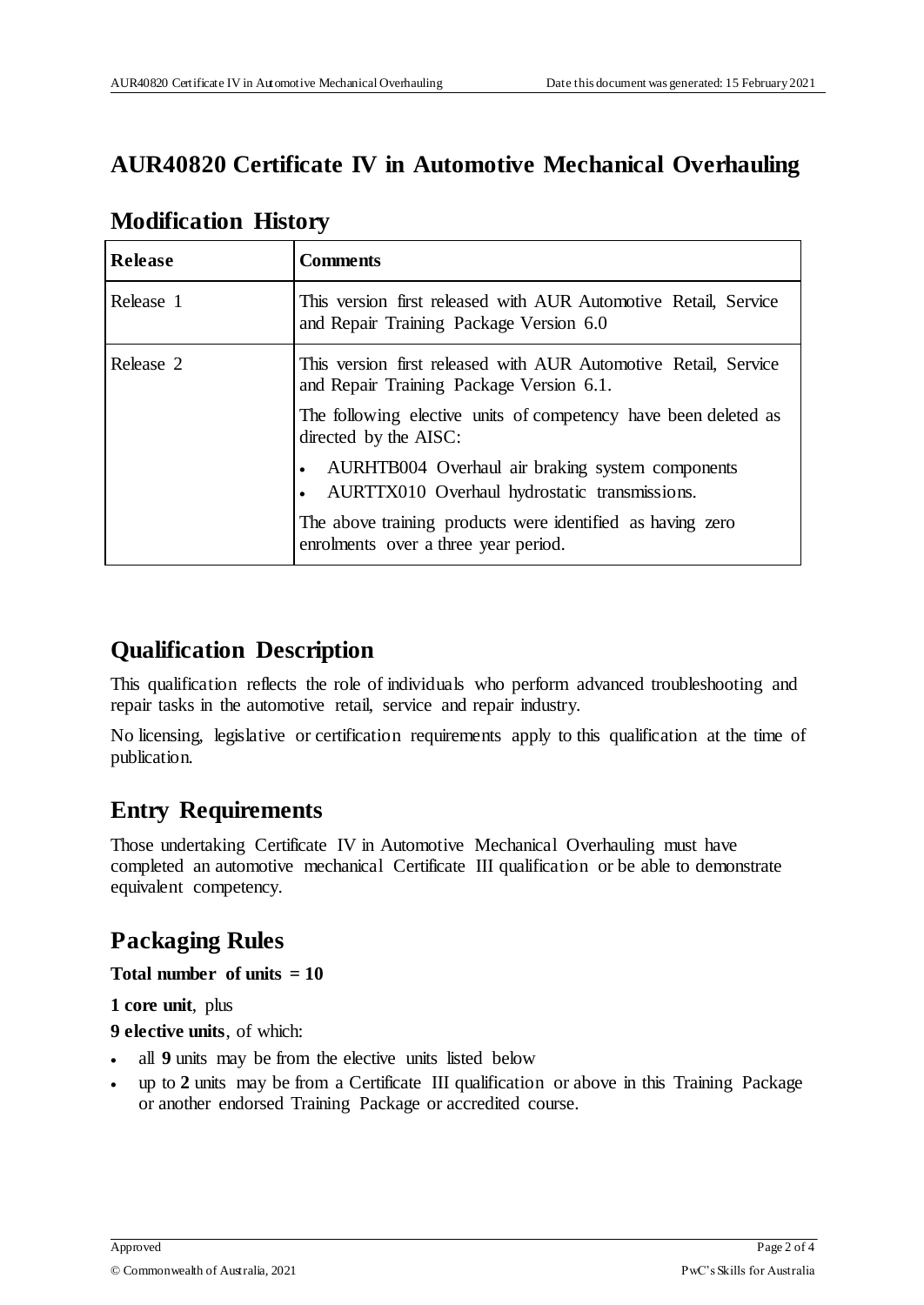### **AUR40820 Certificate IV in Automotive Mechanical Overhauling**

| <b>Release</b> | <b>Comments</b>                                                                                                             |
|----------------|-----------------------------------------------------------------------------------------------------------------------------|
| Release 1      | This version first released with AUR Automotive Retail, Service<br>and Repair Training Package Version 6.0                  |
| Release 2      | This version first released with AUR Automotive Retail, Service<br>and Repair Training Package Version 6.1.                 |
|                | The following elective units of competency have been deleted as<br>directed by the AISC:                                    |
|                | AURHTB004 Overhaul air braking system components<br>$\bullet$<br>AURTTX010 Overhaul hydrostatic transmissions.<br>$\bullet$ |
|                | The above training products were identified as having zero<br>enrolments over a three year period.                          |

### **Modification History**

### **Qualification Description**

This qualification reflects the role of individuals who perform advanced troubleshooting and repair tasks in the automotive retail, service and repair industry.

No licensing, legislative or certification requirements apply to this qualification at the time of publication.

### **Entry Requirements**

Those undertaking Certificate IV in Automotive Mechanical Overhauling must have completed an automotive mechanical Certificate III qualification or be able to demonstrate equivalent competency.

# **Packaging Rules**

**Total number of units = 10**

#### **1 core unit**, plus

**9 elective units**, of which:

- all **9** units may be from the elective units listed below
- up to **2** units may be from a Certificate III qualification or above in this Training Package or another endorsed Training Package or accredited course.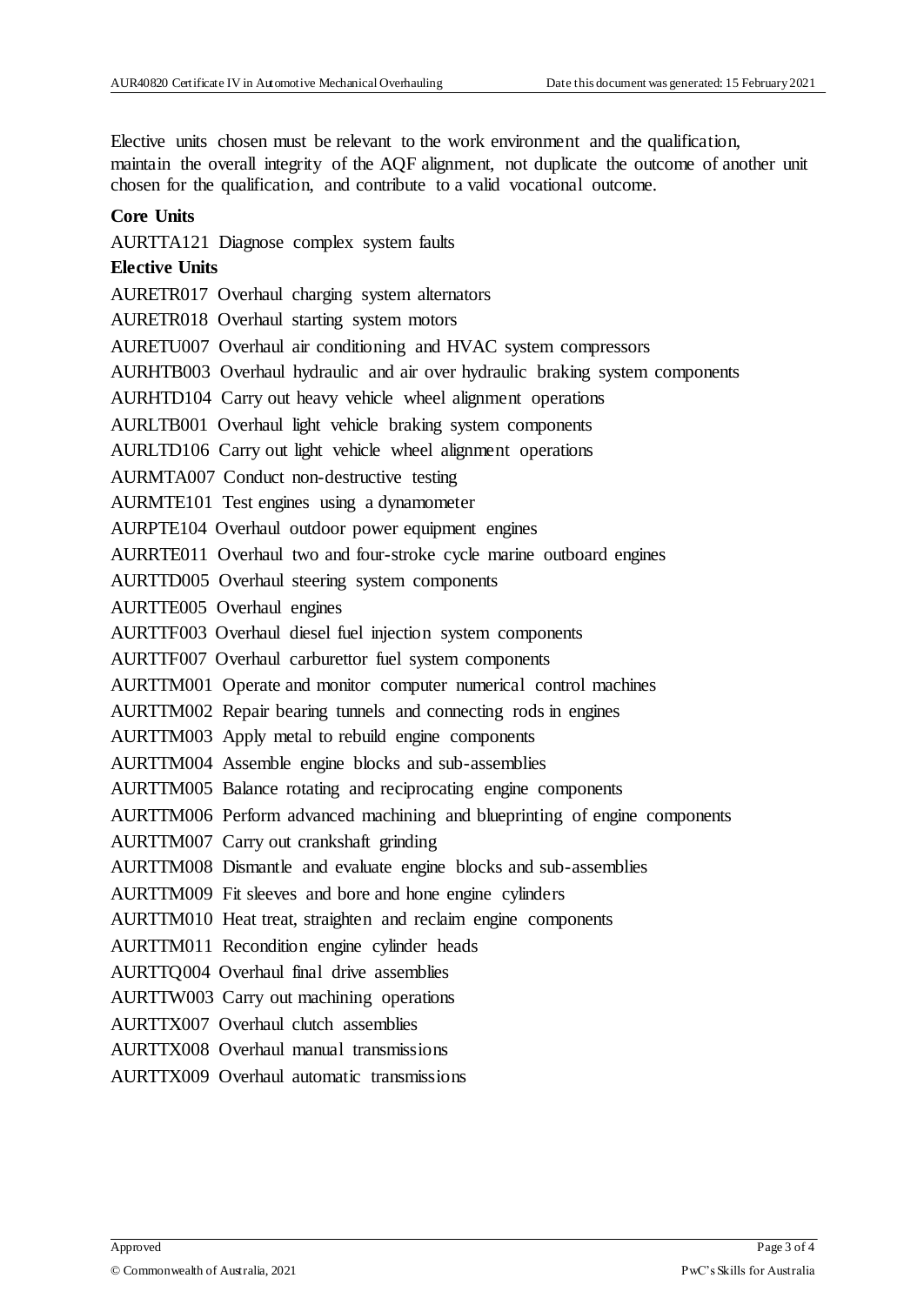Elective units chosen must be relevant to the work environment and the qualification, maintain the overall integrity of the AQF alignment, not duplicate the outcome of another unit chosen for the qualification, and contribute to a valid vocational outcome.

#### **Core Units**

AURTTA121 Diagnose complex system faults

#### **Elective Units**

AURETR017 Overhaul charging system alternators AURETR018 Overhaul starting system motors AURETU007 Overhaul air conditioning and HVAC system compressors AURHTB003 Overhaul hydraulic and air over hydraulic braking system components AURHTD104 Carry out heavy vehicle wheel alignment operations AURLTB001 Overhaul light vehicle braking system components AURLTD106 Carry out light vehicle wheel alignment operations AURMTA007 Conduct non-destructive testing AURMTE101 Test engines using a dynamometer AURPTE104 Overhaul outdoor power equipment engines AURRTE011 Overhaul two and four-stroke cycle marine outboard engines AURTTD005 Overhaul steering system components AURTTE005 Overhaul engines AURTTF003 Overhaul diesel fuel injection system components AURTTF007 Overhaul carburettor fuel system components AURTTM001 Operate and monitor computer numerical control machines AURTTM002 Repair bearing tunnels and connecting rods in engines AURTTM003 Apply metal to rebuild engine components AURTTM004 Assemble engine blocks and sub-assemblies AURTTM005 Balance rotating and reciprocating engine components AURTTM006 Perform advanced machining and blueprinting of engine components AURTTM007 Carry out crankshaft grinding AURTTM008 Dismantle and evaluate engine blocks and sub-assemblies AURTTM009 Fit sleeves and bore and hone engine cylinders AURTTM010 Heat treat, straighten and reclaim engine components AURTTM011 Recondition engine cylinder heads AURTTQ004 Overhaul final drive assemblies AURTTW003 Carry out machining operations AURTTX007 Overhaul clutch assemblies AURTTX008 Overhaul manual transmissions AURTTX009 Overhaul automatic transmissions